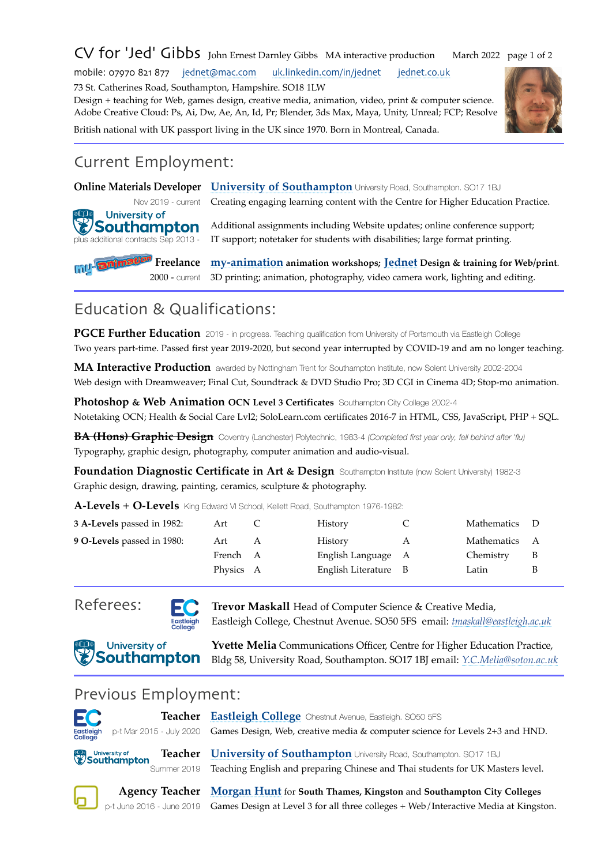## CV for 'Jed' Gibbs John Ernest Darnley Gibbs MA interactive production March 2022 page 1 of 2

mobile: 07970 821 877 [jednet@mac.com](mailto:jednet%40mac.com?subject=cv) [uk.linkedin.com/in/jednet](https://uk.linkedin.com/in/jednet) [jednet.co.uk](http://www.jednet.co.uk) 

73 St. Catherines Road, Southampton, Hampshire. SO18 1LW

Design + teaching for Web, games design, creative media, animation, video, print & computer science. Adobe Creative Cloud: Ps, Ai, Dw, Ae, An, Id, Pr; Blender, 3ds Max, Maya, Unity, Unreal; FCP; Resolve British national with UK passport living in the UK since 1970. Born in Montreal, Canada.



## Current Employment:

University of 'Southampton

**Online Materials Developer [University of Southampton](https://www.southampton.ac.uk/)** University Road, Southampton. SO17 1BJ

Nov 2019 - current Creating engaging learning content with the Centre for Higher Education Practice.

Additional assignments including Website updates; online conference support; plus additional contracts Sep 2013 - IT support; notetaker for students with disabilities; large format printing.

**Freelance m[y-animation](http://www.my-animation.co.uk) animation workshops; [Jednet Design & training for Web/print](http://www.jednet.co.uk)**. 2000 - current 3D printing; animation, photography, video camera work, lighting and editing.

## Education & Qualifications:

**PGCE Further Education** 2019 - in progress. Teaching qualification from University of Portsmouth via Eastleigh College Two years part-time. Passed first year 2019-2020, but second year interrupted by COVID-19 and am no longer teaching.

**MA Interactive Production** awarded by Nottingham Trent for Southampton Institute, now Solent University 2002-2004 Web design with Dreamweaver; Final Cut, Soundtrack & DVD Studio Pro; 3D CGI in Cinema 4D; Stop-mo animation.

**Photoshop & Web Animation OCN Level 3 Certificates** Southampton City College 2002-4 Notetaking OCN; Health & Social Care Lvl2; SoloLearn.com certificates 2016-7 in HTML, CSS, JavaScript, PHP + SQL.

**BA (Hons) Graphic Design** Coventry (Lanchester) Polytechnic, 1983-4 *(Completed first year only, fell behind after 'flu)* Typography, graphic design, photography, computer animation and audio-visual.

**Foundation Diagnostic Certificate in Art & Design** Southampton Institute (now Solent University) 1982-3 Graphic design, drawing, painting, ceramics, sculpture & photography.

**A-Levels + O-Levels** King Edward VI School, Kellett Road, Southampton 1976-1982:

| 3 A-Levels passed in 1982: | Art       |   | History              | Mathematics   |  |
|----------------------------|-----------|---|----------------------|---------------|--|
| 9 O-Levels passed in 1980: | Art       | A | History              | Mathematics A |  |
|                            | French A  |   | English Language A   | Chemistry     |  |
|                            | Physics A |   | English Literature B | Latin         |  |
|                            |           |   |                      |               |  |

j

j

j



Referees: **Text** Trevor Maskall Head of Computer Science & Creative Media, Eastleigh College, Chestnut Avenue. SO50 5FS email: *[tmaskall@eastleigh.ac.uk](mailto:tmaskall@eastleigh.ac.uk)*

*COMPUTER CONTROLLER CONTROLLER CONTROLLER CONTROLLER CONTROLLER CONTROLLER CONTROLLER CONTROLLER CONTROLLER CONTROLLER CONTROLLER CONTROLLER CONTROLLER CONTROLLER CONTROLLER CONTROLLER CONTROLLER CONTROLLER CONTROLLER CO* Bldg 58, University Road, Southampton. SO17 1BJ email: *[Y.C.Melia@soton.ac.uk](mailto:Y.C.Melia@soton.ac.uk)*

## Previous Employment:

| EC <sub></sub>       |                           | Teacher Eastleigh College Chestnut Avenue, Eastleigh. SO50 5FS                                        |
|----------------------|---------------------------|-------------------------------------------------------------------------------------------------------|
| Eastleigh<br>College |                           | p-t Mar 2015 - July 2020 Games Design, Web, creative media & computer science for Levels 2+3 and HND. |
|                      | University of Southampton | Teacher University of Southampton University Road, Southampton. SO17 1BJ                              |

Summer 2019 Teaching English and preparing Chinese and Thai students for UK Masters level.

**Agency Teacher [Morgan Hunt](https://www.morganhunt.com/)** for **South Thames, Kingston** and **Southampton City Colleges** p-t June 2016 - June 2019 Games Design at Level 3 for all three colleges + Web/Interactive Media at Kingston.